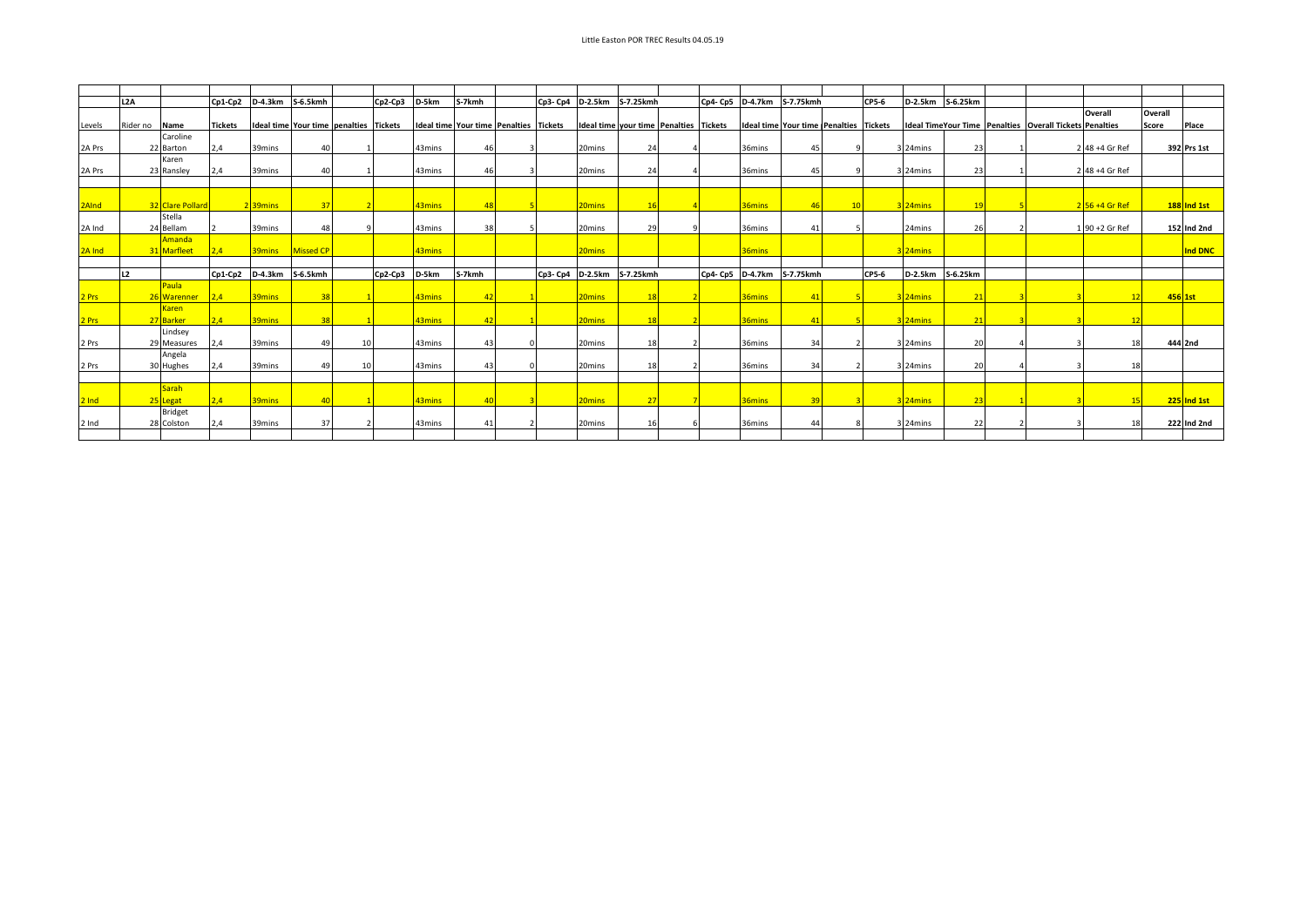|         | L <sub>2</sub> A |                  | $Cp1-Cp2$      | D-4.3km              | S-6.5kmh                               | $Cp2-Cp3$ | D-5km  | S-7kmh                                 | Cp3- Cp4 | D-2.5km                                | S-7.25kmh |                  | Cp4- Cp5 D-4.7km S-7.75kmh                    |                        | CP5-6 | D-2.5km              | S-6.25km       |                                                                |                             |         |               |
|---------|------------------|------------------|----------------|----------------------|----------------------------------------|-----------|--------|----------------------------------------|----------|----------------------------------------|-----------|------------------|-----------------------------------------------|------------------------|-------|----------------------|----------------|----------------------------------------------------------------|-----------------------------|---------|---------------|
|         |                  |                  |                |                      |                                        |           |        |                                        |          |                                        |           |                  |                                               |                        |       |                      |                |                                                                | Overall                     | Overall |               |
| Levels  | Rider no         | Name             | <b>Tickets</b> |                      | Ideal time Your time penalties Tickets |           |        | Ideal time Your time Penalties Tickets |          | Ideal time your time Penalties Tickets |           |                  | <b>Ideal time Your time Penalties Tickets</b> |                        |       |                      |                | <b>Ideal TimeYour Time Penalties Overall Tickets Penalties</b> |                             | Score   | Place         |
|         |                  | Caroline         |                |                      |                                        |           |        |                                        |          |                                        |           |                  |                                               |                        |       |                      |                |                                                                |                             |         |               |
| 2A Prs  |                  | 22 Barton        | 2,4            | 39mins               | $\Delta$                               |           | 43mins |                                        |          | 20mins                                 | 24        |                  | 36mins                                        | 45                     |       | 3 24mins             | 23             |                                                                | 2 48 +4 Gr Ref              |         | 392 Prs 1st   |
|         |                  | Karen            |                |                      |                                        |           |        |                                        |          |                                        |           |                  |                                               |                        |       |                      |                |                                                                |                             |         |               |
| 2A Prs  |                  | 23 Ransley       | 2,4            | 39mins               | 40                                     |           | 43mins | 46                                     |          | 20mins                                 | 24        |                  | 36mins                                        | 45                     |       | 3 24mins             | 23             |                                                                | 2 48 +4 Gr Ref              |         |               |
|         |                  |                  |                |                      |                                        |           |        |                                        |          |                                        |           |                  |                                               |                        |       |                      |                |                                                                |                             |         |               |
| 2AInd   |                  | 32 Clare Pollard |                | 2 <sup>39</sup> mins | 37                                     |           | 43mins |                                        |          | 20 <sub>mins</sub>                     |           |                  | 36mins                                        |                        |       | 3 <sup>24</sup> mins |                |                                                                | $2\overline{56} + 4$ Gr Ref |         | $188$ Ind 1st |
|         |                  | Stella           |                |                      |                                        |           |        |                                        |          |                                        |           |                  |                                               |                        |       |                      |                |                                                                |                             |         |               |
| 2A Ind  |                  | 24 Bellam        |                | 39mins               | 48                                     |           | 43mins | 38                                     |          | 20mins                                 | 29        |                  | 36mins                                        | 4 <sup>1</sup>         |       | 24mins               | 26             |                                                                | 1 90 +2 Gr Ref              |         | 152 Ind 2nd   |
|         |                  | Amanda           |                |                      |                                        |           |        |                                        |          |                                        |           |                  |                                               |                        |       |                      |                |                                                                |                             |         |               |
| 2A Ind  |                  | 31 Marfleet      | 2.4            |                      | 39mins Missed CP                       |           | 43mins |                                        |          | 20 <sub>mins</sub>                     |           |                  | 36mins                                        |                        |       | 324mins              |                |                                                                |                             |         | Ind DNC       |
|         |                  |                  |                |                      |                                        |           |        |                                        |          |                                        |           |                  |                                               |                        |       |                      |                |                                                                |                             |         |               |
|         | L2               |                  | $Cp1-Cp2$      | D-4.3km              | S-6.5kmh                               | $Cp2-Cp3$ | D-5km  | S-7kmh                                 | Cp3- Cp4 | <b>D-2.5km</b>                         | S-7.25kmh | Cp4- Cp5 D-4.7km |                                               | S-7.75kmh              | CP5-6 | D-2.5km              | S-6.25km       |                                                                |                             |         |               |
|         |                  | Paula            |                |                      |                                        |           |        |                                        |          |                                        |           |                  |                                               |                        |       |                      |                |                                                                |                             |         |               |
| 2 Prs   |                  | 26 Warenner      | 2.4            | 39mins               | 38                                     |           | 43mins | $\vert$ 4                              |          | 20 <sub>mins</sub>                     | 18        |                  | 36 <sub>mins</sub>                            | $\boldsymbol{\Lambda}$ |       | 3 <sup>24</sup> mins | $\overline{2}$ |                                                                | 10                          |         | 456 1st       |
|         |                  | Karen            |                |                      |                                        |           |        |                                        |          |                                        |           |                  |                                               |                        |       |                      |                |                                                                |                             |         |               |
| 2 Prs   |                  | 27 Barker        | 2.4            | 39mins               | 38                                     |           | 43mins | $\mathbf{A}$                           |          | 20 <sub>mins</sub>                     | 18        |                  | 36mins                                        |                        |       | 3 <sup>24</sup> mins |                |                                                                |                             |         |               |
|         |                  | Lindsey          |                |                      |                                        |           |        |                                        |          |                                        |           |                  |                                               |                        |       |                      |                |                                                                |                             |         |               |
| 2 Prs   |                  | 29 Measures      | 2.4            | 39mins               | 49                                     |           | 43mins | $\mathbf{A}$                           |          | 20mins                                 | 18        |                  | 36mins                                        | 34                     |       | 3 24mins             | 20             |                                                                | 18                          |         | 444 2nd       |
|         |                  | Angela           |                |                      |                                        |           |        |                                        |          |                                        |           |                  |                                               |                        |       |                      |                |                                                                |                             |         |               |
| 2 Prs   |                  | 30 Hughes        | 2.4            | 39mins               | 49                                     |           | 43mins | $\Delta$                               |          | 20mins                                 | 18        |                  | 36mins                                        | 34                     |       | 3 24mins             | 20             |                                                                |                             |         |               |
|         |                  | <b>Sarah</b>     |                |                      |                                        |           |        |                                        |          |                                        |           |                  |                                               |                        |       |                      |                |                                                                |                             |         |               |
| $2$ Ind |                  | 25 Legat         | 2.4            | 39mins               | 40                                     |           | 43mins | $\Delta$                               |          | 20 <sub>mins</sub>                     | 27        |                  | 36mins                                        | 39                     |       | $3$  24 $mins$       | $-23$          |                                                                | 15                          |         | $225$ Ind 1st |
|         |                  | <b>Bridget</b>   |                |                      |                                        |           |        |                                        |          |                                        |           |                  |                                               |                        |       |                      |                |                                                                |                             |         |               |
| 2 Ind   |                  | 28 Colston       | 2.4            | 39mins               | 37                                     |           | 43mins | $\mathbf{A}$                           |          | 20mins                                 | 16        |                  | 36mins                                        | 44                     |       | 3 24mins             | 22             |                                                                | 18                          |         | 222 Ind 2nd   |
|         |                  |                  |                |                      |                                        |           |        |                                        |          |                                        |           |                  |                                               |                        |       |                      |                |                                                                |                             |         |               |